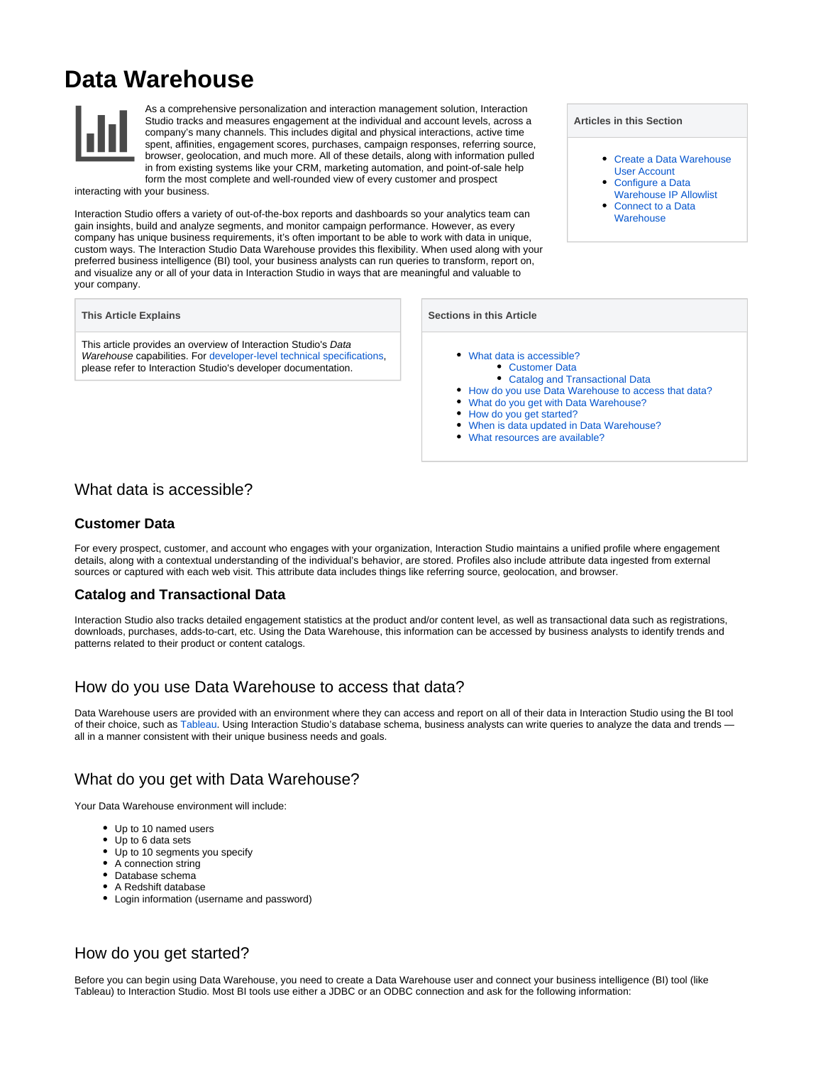# **Data Warehouse**



As a comprehensive personalization and interaction management solution, Interaction Studio tracks and measures engagement at the individual and account levels, across a company's many channels. This includes digital and physical interactions, active time spent, affinities, engagement scores, purchases, campaign responses, referring source, browser, geolocation, and much more. All of these details, along with information pulled in from existing systems like your CRM, marketing automation, and point-of-sale help form the most complete and well-rounded view of every customer and prospect

interacting with your business.

Interaction Studio offers a variety of out-of-the-box reports and dashboards so your analytics team can gain insights, build and analyze segments, and monitor campaign performance. However, as every company has unique business requirements, it's often important to be able to work with data in unique, custom ways. The Interaction Studio Data Warehouse provides this flexibility. When used along with your preferred business intelligence (BI) tool, your business analysts can run queries to transform, report on, and visualize any or all of your data in Interaction Studio in ways that are meaningful and valuable to your company.

#### **This Article Explains**

This article provides an overview of Interaction Studio's Data Warehouse capabilities. For [developer-level technical specifications](https://developer.evergage.com/data-analytics), please refer to Interaction Studio's developer documentation.

#### **Articles in this Section**

- [Create a Data Warehouse](https://doc.evergage.com/display/EKB/Create+a+Data+Warehouse+User+Account)  [User Account](https://doc.evergage.com/display/EKB/Create+a+Data+Warehouse+User+Account)
- [Configure a Data](https://doc.evergage.com/display/EKB/Configure+a+Data+Warehouse+IP+Allowlist)  [Warehouse IP Allowlist](https://doc.evergage.com/display/EKB/Configure+a+Data+Warehouse+IP+Allowlist)
- [Connect to a Data](https://doc.evergage.com/display/EKB/Connect+to+a+Data+Warehouse)  **[Warehouse](https://doc.evergage.com/display/EKB/Connect+to+a+Data+Warehouse)**

#### **Sections in this Article**

- [What data is accessible?](#page-0-0)
	- [Customer Data](#page-0-1)
	- [Catalog and Transactional Data](#page-0-2)
- [How do you use Data Warehouse to access that data?](#page-0-3)
- [What do you get with Data Warehouse?](#page-0-4)
- [How do you get started?](#page-0-5)
- [When is data updated in Data Warehouse?](#page-1-0) [What resources are available?](#page-1-1)

## <span id="page-0-0"></span>What data is accessible?

#### <span id="page-0-1"></span>**Customer Data**

For every prospect, customer, and account who engages with your organization, Interaction Studio maintains a unified profile where engagement details, along with a contextual understanding of the individual's behavior, are stored. Profiles also include attribute data ingested from external sources or captured with each web visit. This attribute data includes things like referring source, geolocation, and browser.

### <span id="page-0-2"></span>**Catalog and Transactional Data**

Interaction Studio also tracks detailed engagement statistics at the product and/or content level, as well as transactional data such as registrations, downloads, purchases, adds-to-cart, etc. Using the Data Warehouse, this information can be accessed by business analysts to identify trends and patterns related to their product or content catalogs.

## <span id="page-0-3"></span>How do you use Data Warehouse to access that data?

Data Warehouse users are provided with an environment where they can access and report on all of their data in Interaction Studio using the BI tool of their choice, such as [Tableau](https://www.salesforce.com/products/analytics/overview/?d=cta-body-promo-42). Using Interaction Studio's database schema, business analysts can write queries to analyze the data and trends all in a manner consistent with their unique business needs and goals.

# <span id="page-0-4"></span>What do you get with Data Warehouse?

Your Data Warehouse environment will include:

- Up to 10 named users
- Up to 6 data sets
- Up to 10 segments you specify
- A connection string
- Database schema
- A Redshift database
- Login information (username and password)

# <span id="page-0-5"></span>How do you get started?

Before you can begin using Data Warehouse, you need to create a Data Warehouse user and connect your business intelligence (BI) tool (like Tableau) to Interaction Studio. Most BI tools use either a JDBC or an ODBC connection and ask for the following information: